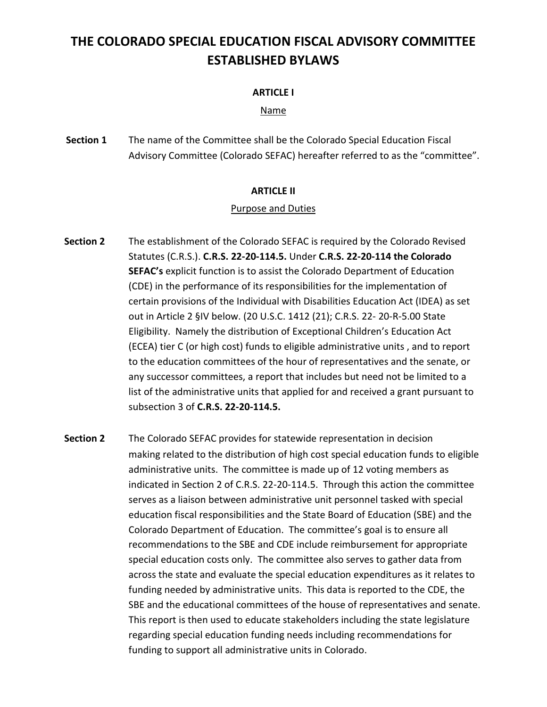# **THE COLORADO SPECIAL EDUCATION FISCAL ADVISORY COMMITTEE ESTABLISHED BYLAWS**

# **ARTICLE I**

# Name

**Section 1** The name of the Committee shall be the Colorado Special Education Fiscal Advisory Committee (Colorado SEFAC) hereafter referred to as the "committee".

# **ARTICLE II**

# Purpose and Duties

- **Section 2** The establishment of the Colorado SEFAC is required by the Colorado Revised Statutes (C.R.S.). **C.R.S. 22-20-114.5.** Under **C.R.S. 22-20-114 the Colorado SEFAC's** explicit function is to assist the Colorado Department of Education (CDE) in the performance of its responsibilities for the implementation of certain provisions of the Individual with Disabilities Education Act (IDEA) as set out in Article 2 §IV below. (20 U.S.C. 1412 (21); C.R.S. 22- 20-R-5.00 State Eligibility. Namely the distribution of Exceptional Children's Education Act (ECEA) tier C (or high cost) funds to eligible administrative units , and to report to the education committees of the hour of representatives and the senate, or any successor committees, a report that includes but need not be limited to a list of the administrative units that applied for and received a grant pursuant to subsection 3 of **C.R.S. 22-20-114.5.**
- **Section 2** The Colorado SEFAC provides for statewide representation in decision making related to the distribution of high cost special education funds to eligible administrative units. The committee is made up of 12 voting members as indicated in Section 2 of C.R.S. 22-20-114.5. Through this action the committee serves as a liaison between administrative unit personnel tasked with special education fiscal responsibilities and the State Board of Education (SBE) and the Colorado Department of Education. The committee's goal is to ensure all recommendations to the SBE and CDE include reimbursement for appropriate special education costs only. The committee also serves to gather data from across the state and evaluate the special education expenditures as it relates to funding needed by administrative units. This data is reported to the CDE, the SBE and the educational committees of the house of representatives and senate. This report is then used to educate stakeholders including the state legislature regarding special education funding needs including recommendations for funding to support all administrative units in Colorado.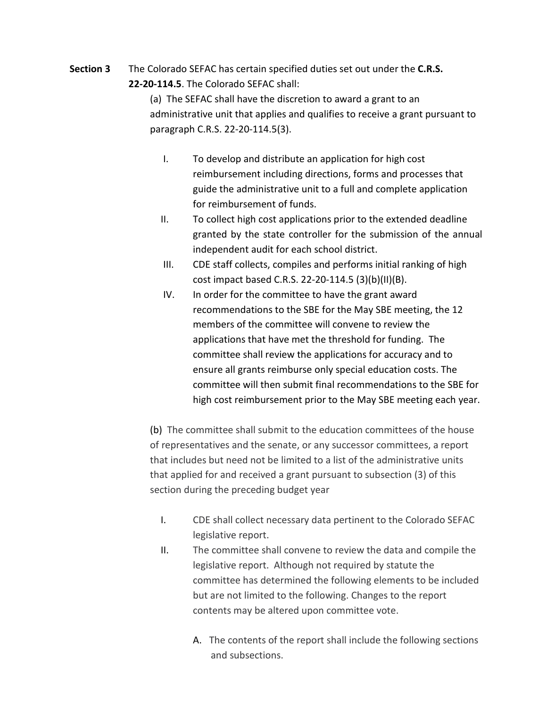**Section 3** The Colorado SEFAC has certain specified duties set out under the **C.R.S. 22-20-114.5**. The Colorado SEFAC shall:

> (a) The SEFAC shall have the discretion to award a grant to an administrative unit that applies and qualifies to receive a grant pursuant to paragraph C.R.S. 22-20-114.5(3).

- I. To develop and distribute an application for high cost reimbursement including directions, forms and processes that guide the administrative unit to a full and complete application for reimbursement of funds.
- II. To collect high cost applications prior to the extended deadline granted by the state controller for the submission of the annual independent audit for each school district.
- III. CDE staff collects, compiles and performs initial ranking of high cost impact based C.R.S. 22-20-114.5 (3)(b)(II)(B).
- IV. In order for the committee to have the grant award recommendations to the SBE for the May SBE meeting, the 12 members of the committee will convene to review the applications that have met the threshold for funding. The committee shall review the applications for accuracy and to ensure all grants reimburse only special education costs. The committee will then submit final recommendations to the SBE for high cost reimbursement prior to the May SBE meeting each year.

(b) The committee shall submit to the education committees of the house of representatives and the senate, or any successor committees, a report that includes but need not be limited to a list of the administrative units that applied for and received a grant pursuant to subsection (3) of this section during the preceding budget year

- I. CDE shall collect necessary data pertinent to the Colorado SEFAC legislative report.
- II. The committee shall convene to review the data and compile the legislative report. Although not required by statute the committee has determined the following elements to be included but are not limited to the following. Changes to the report contents may be altered upon committee vote.
	- A. The contents of the report shall include the following sections and subsections.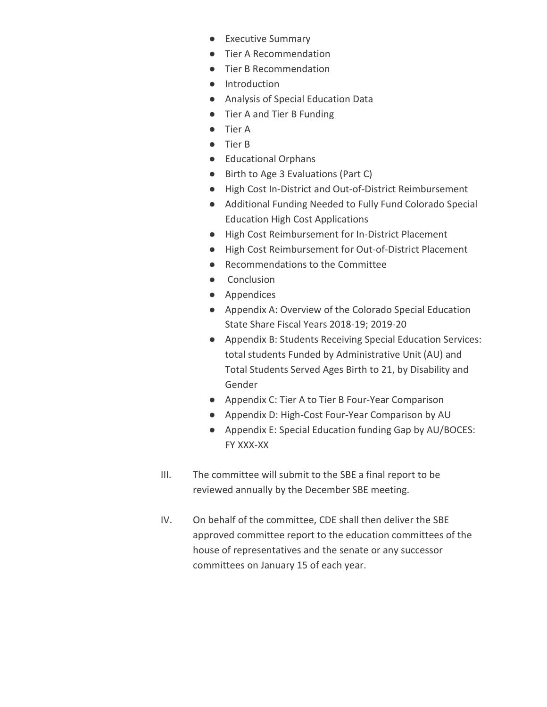- Executive Summary
- Tier A Recommendation
- Tier B Recommendation
- Introduction
- Analysis of Special Education Data
- Tier A and Tier B Funding
- Tier A
- Tier B
- Educational Orphans
- Birth to Age 3 Evaluations (Part C)
- High Cost In-District and Out-of-District Reimbursement
- Additional Funding Needed to Fully Fund Colorado Special Education High Cost Applications
- High Cost Reimbursement for In-District Placement
- High Cost Reimbursement for Out-of-District Placement
- Recommendations to the Committee
- Conclusion
- Appendices
- Appendix A: Overview of the Colorado Special Education State Share Fiscal Years 2018-19; 2019-20
- Appendix B: Students Receiving Special Education Services: total students Funded by Administrative Unit (AU) and Total Students Served Ages Birth to 21, by Disability and Gender
- Appendix C: Tier A to Tier B Four-Year Comparison
- Appendix D: High-Cost Four-Year Comparison by AU
- Appendix E: Special Education funding Gap by AU/BOCES: FY XXX-XX
- III. The committee will submit to the SBE a final report to be reviewed annually by the December SBE meeting.
- IV. On behalf of the committee, CDE shall then deliver the SBE approved committee report to the education committees of the house of representatives and the senate or any successor committees on January 15 of each year.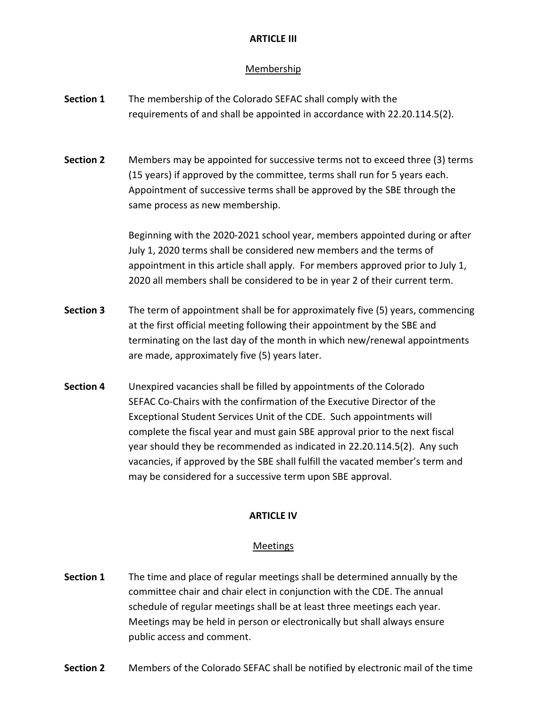# **ARTICLE III**

## Membership

- **Section 1** The membership of the Colorado SEFAC shall comply with the requirements of and shall be appointed in accordance with 22.20.114.5(2).
- **Section 2** Members may be appointed for successive terms not to exceed three (3) terms (15 years) if approved by the committee, terms shall run for 5 years each. Appointment of successive terms shall be approved by the SBE through the same process as new membership.

Beginning with the 2020-2021 school year, members appointed during or after July 1, 2020 terms shall be considered new members and the terms of appointment in this article shall apply. For members approved prior to July 1, 2020 all members shall be considered to be in year 2 of their current term.

- **Section 3** The term of appointment shall be for approximately five (5) years, commencing at the first official meeting following their appointment by the SBE and terminating on the last day of the month in which new/renewal appointments are made, approximately five (5) years later.
- **Section 4** Unexpired vacancies shall be filled by appointments of the Colorado SEFAC Co-Chairs with the confirmation of the Executive Director of the Exceptional Student Services Unit of the CDE. Such appointments will complete the fiscal year and must gain SBE approval prior to the next fiscal year should they be recommended as indicated in 22.20.114.5(2). Any such vacancies, if approved by the SBE shall fulfill the vacated member's term and may be considered for a successive term upon SBE approval.

#### **ARTICLE IV**

#### Meetings

- **Section 1** The time and place of regular meetings shall be determined annually by the committee chair and chair elect in conjunction with the CDE. The annual schedule of regular meetings shall be at least three meetings each year. Meetings may be held in person or electronically but shall always ensure public access and comment.
- **Section 2** Members of the Colorado SEFAC shall be notified by electronic mail of the time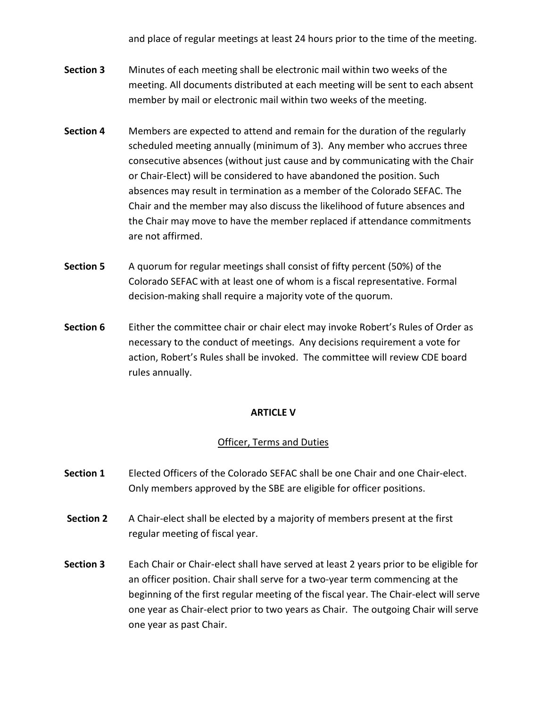and place of regular meetings at least 24 hours prior to the time of the meeting.

- **Section 3** Minutes of each meeting shall be electronic mail within two weeks of the meeting. All documents distributed at each meeting will be sent to each absent member by mail or electronic mail within two weeks of the meeting.
- **Section 4** Members are expected to attend and remain for the duration of the regularly scheduled meeting annually (minimum of 3). Any member who accrues three consecutive absences (without just cause and by communicating with the Chair or Chair-Elect) will be considered to have abandoned the position. Such absences may result in termination as a member of the Colorado SEFAC. The Chair and the member may also discuss the likelihood of future absences and the Chair may move to have the member replaced if attendance commitments are not affirmed.
- **Section 5** A quorum for regular meetings shall consist of fifty percent (50%) of the Colorado SEFAC with at least one of whom is a fiscal representative. Formal decision-making shall require a majority vote of the quorum.
- **Section 6** Either the committee chair or chair elect may invoke Robert's Rules of Order as necessary to the conduct of meetings. Any decisions requirement a vote for action, Robert's Rules shall be invoked. The committee will review CDE board rules annually.

## **ARTICLE V**

## Officer, Terms and Duties

- **Section 1** Elected Officers of the Colorado SEFAC shall be one Chair and one Chair-elect. Only members approved by the SBE are eligible for officer positions.
- **Section 2** A Chair-elect shall be elected by a majority of members present at the first regular meeting of fiscal year.
- **Section 3** Each Chair or Chair-elect shall have served at least 2 years prior to be eligible for an officer position. Chair shall serve for a two-year term commencing at the beginning of the first regular meeting of the fiscal year. The Chair-elect will serve one year as Chair-elect prior to two years as Chair. The outgoing Chair will serve one year as past Chair.